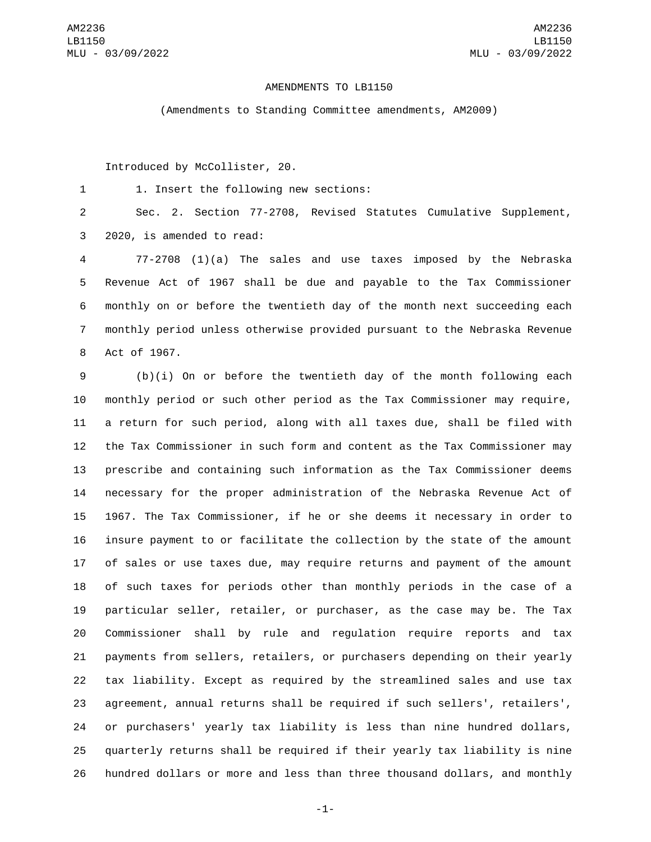## AMENDMENTS TO LB1150

(Amendments to Standing Committee amendments, AM2009)

Introduced by McCollister, 20.

1. Insert the following new sections:1

 Sec. 2. Section 77-2708, Revised Statutes Cumulative Supplement, 3 2020, is amended to read:

 77-2708 (1)(a) The sales and use taxes imposed by the Nebraska Revenue Act of 1967 shall be due and payable to the Tax Commissioner monthly on or before the twentieth day of the month next succeeding each monthly period unless otherwise provided pursuant to the Nebraska Revenue 8 Act of 1967.

 (b)(i) On or before the twentieth day of the month following each monthly period or such other period as the Tax Commissioner may require, a return for such period, along with all taxes due, shall be filed with the Tax Commissioner in such form and content as the Tax Commissioner may prescribe and containing such information as the Tax Commissioner deems necessary for the proper administration of the Nebraska Revenue Act of 1967. The Tax Commissioner, if he or she deems it necessary in order to insure payment to or facilitate the collection by the state of the amount of sales or use taxes due, may require returns and payment of the amount of such taxes for periods other than monthly periods in the case of a particular seller, retailer, or purchaser, as the case may be. The Tax Commissioner shall by rule and regulation require reports and tax payments from sellers, retailers, or purchasers depending on their yearly tax liability. Except as required by the streamlined sales and use tax agreement, annual returns shall be required if such sellers', retailers', or purchasers' yearly tax liability is less than nine hundred dollars, quarterly returns shall be required if their yearly tax liability is nine hundred dollars or more and less than three thousand dollars, and monthly

-1-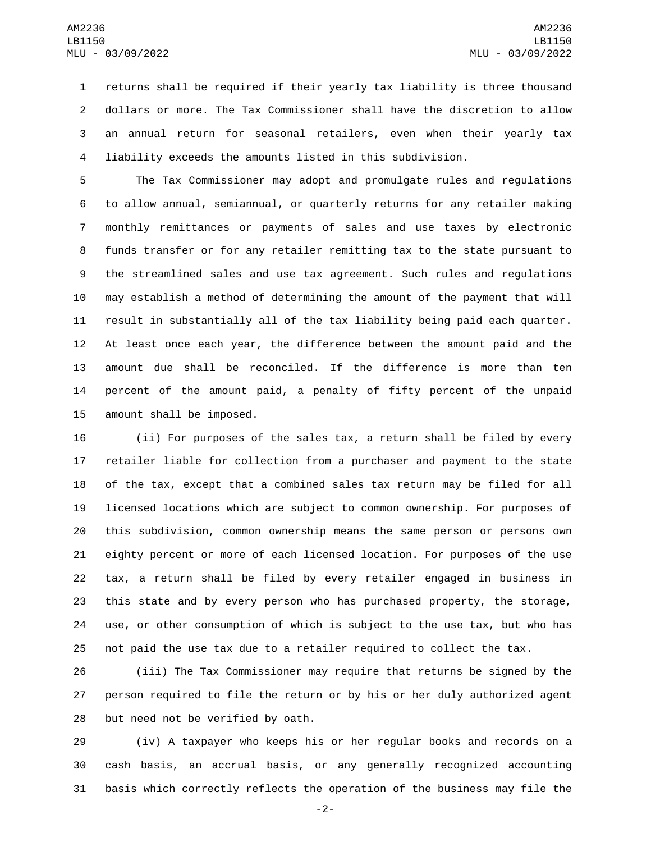returns shall be required if their yearly tax liability is three thousand dollars or more. The Tax Commissioner shall have the discretion to allow an annual return for seasonal retailers, even when their yearly tax liability exceeds the amounts listed in this subdivision.

 The Tax Commissioner may adopt and promulgate rules and regulations to allow annual, semiannual, or quarterly returns for any retailer making monthly remittances or payments of sales and use taxes by electronic funds transfer or for any retailer remitting tax to the state pursuant to the streamlined sales and use tax agreement. Such rules and regulations may establish a method of determining the amount of the payment that will result in substantially all of the tax liability being paid each quarter. At least once each year, the difference between the amount paid and the amount due shall be reconciled. If the difference is more than ten percent of the amount paid, a penalty of fifty percent of the unpaid 15 amount shall be imposed.

 (ii) For purposes of the sales tax, a return shall be filed by every retailer liable for collection from a purchaser and payment to the state of the tax, except that a combined sales tax return may be filed for all licensed locations which are subject to common ownership. For purposes of this subdivision, common ownership means the same person or persons own eighty percent or more of each licensed location. For purposes of the use tax, a return shall be filed by every retailer engaged in business in this state and by every person who has purchased property, the storage, use, or other consumption of which is subject to the use tax, but who has not paid the use tax due to a retailer required to collect the tax.

 (iii) The Tax Commissioner may require that returns be signed by the person required to file the return or by his or her duly authorized agent 28 but need not be verified by oath.

 (iv) A taxpayer who keeps his or her regular books and records on a cash basis, an accrual basis, or any generally recognized accounting basis which correctly reflects the operation of the business may file the

-2-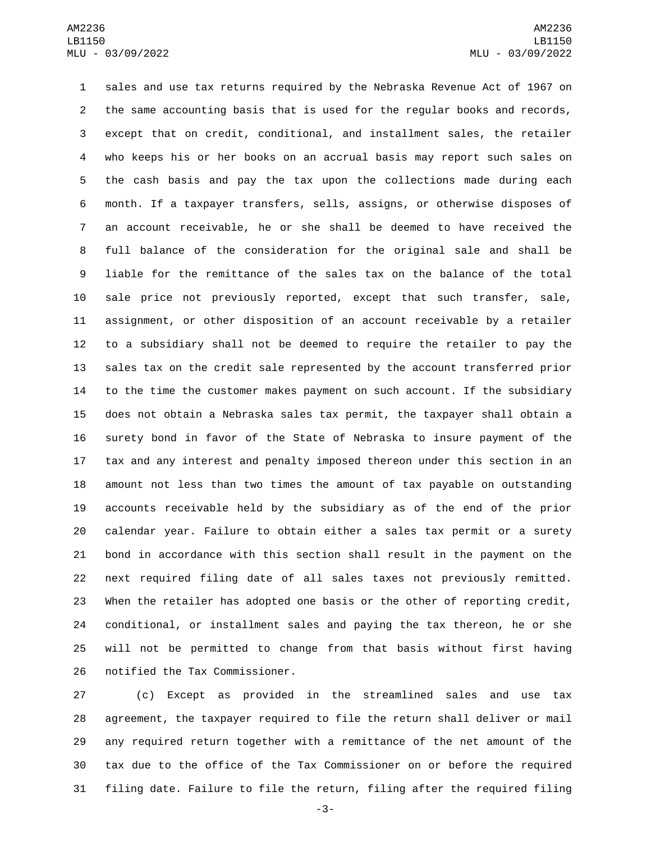sales and use tax returns required by the Nebraska Revenue Act of 1967 on the same accounting basis that is used for the regular books and records, except that on credit, conditional, and installment sales, the retailer who keeps his or her books on an accrual basis may report such sales on the cash basis and pay the tax upon the collections made during each month. If a taxpayer transfers, sells, assigns, or otherwise disposes of an account receivable, he or she shall be deemed to have received the full balance of the consideration for the original sale and shall be liable for the remittance of the sales tax on the balance of the total sale price not previously reported, except that such transfer, sale, assignment, or other disposition of an account receivable by a retailer to a subsidiary shall not be deemed to require the retailer to pay the sales tax on the credit sale represented by the account transferred prior to the time the customer makes payment on such account. If the subsidiary does not obtain a Nebraska sales tax permit, the taxpayer shall obtain a surety bond in favor of the State of Nebraska to insure payment of the tax and any interest and penalty imposed thereon under this section in an amount not less than two times the amount of tax payable on outstanding accounts receivable held by the subsidiary as of the end of the prior calendar year. Failure to obtain either a sales tax permit or a surety bond in accordance with this section shall result in the payment on the next required filing date of all sales taxes not previously remitted. When the retailer has adopted one basis or the other of reporting credit, conditional, or installment sales and paying the tax thereon, he or she will not be permitted to change from that basis without first having 26 notified the Tax Commissioner.

 (c) Except as provided in the streamlined sales and use tax agreement, the taxpayer required to file the return shall deliver or mail any required return together with a remittance of the net amount of the tax due to the office of the Tax Commissioner on or before the required filing date. Failure to file the return, filing after the required filing

-3-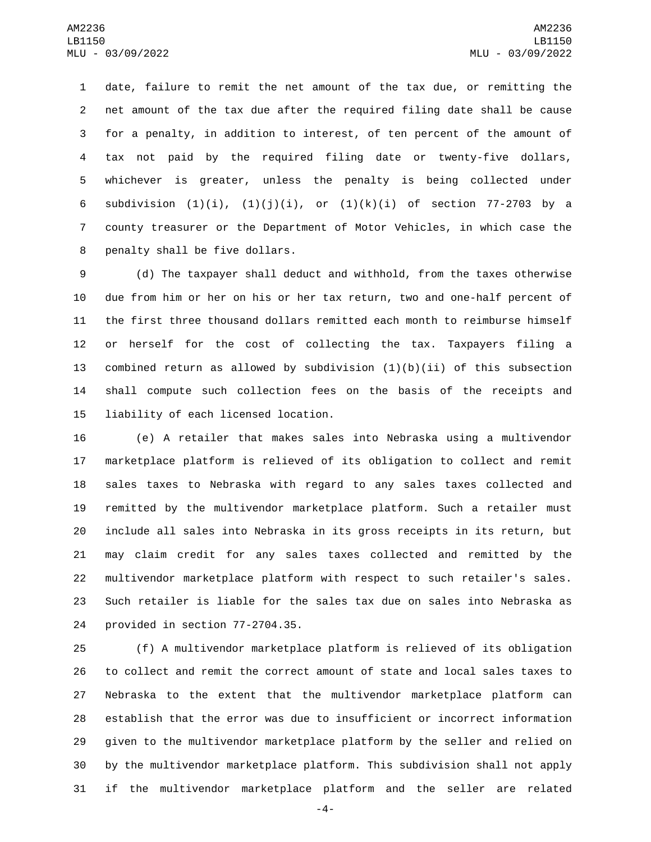date, failure to remit the net amount of the tax due, or remitting the net amount of the tax due after the required filing date shall be cause for a penalty, in addition to interest, of ten percent of the amount of tax not paid by the required filing date or twenty-five dollars, whichever is greater, unless the penalty is being collected under 6 subdivision  $(1)(i)$ ,  $(1)(j)(i)$ , or  $(1)(k)(i)$  of section 77-2703 by a county treasurer or the Department of Motor Vehicles, in which case the 8 penalty shall be five dollars.

 (d) The taxpayer shall deduct and withhold, from the taxes otherwise due from him or her on his or her tax return, two and one-half percent of the first three thousand dollars remitted each month to reimburse himself or herself for the cost of collecting the tax. Taxpayers filing a 13 combined return as allowed by subdivision  $(1)(b)(ii)$  of this subsection shall compute such collection fees on the basis of the receipts and 15 liability of each licensed location.

 (e) A retailer that makes sales into Nebraska using a multivendor marketplace platform is relieved of its obligation to collect and remit sales taxes to Nebraska with regard to any sales taxes collected and remitted by the multivendor marketplace platform. Such a retailer must include all sales into Nebraska in its gross receipts in its return, but may claim credit for any sales taxes collected and remitted by the multivendor marketplace platform with respect to such retailer's sales. Such retailer is liable for the sales tax due on sales into Nebraska as 24 provided in section 77-2704.35.

 (f) A multivendor marketplace platform is relieved of its obligation to collect and remit the correct amount of state and local sales taxes to Nebraska to the extent that the multivendor marketplace platform can establish that the error was due to insufficient or incorrect information given to the multivendor marketplace platform by the seller and relied on by the multivendor marketplace platform. This subdivision shall not apply if the multivendor marketplace platform and the seller are related

-4-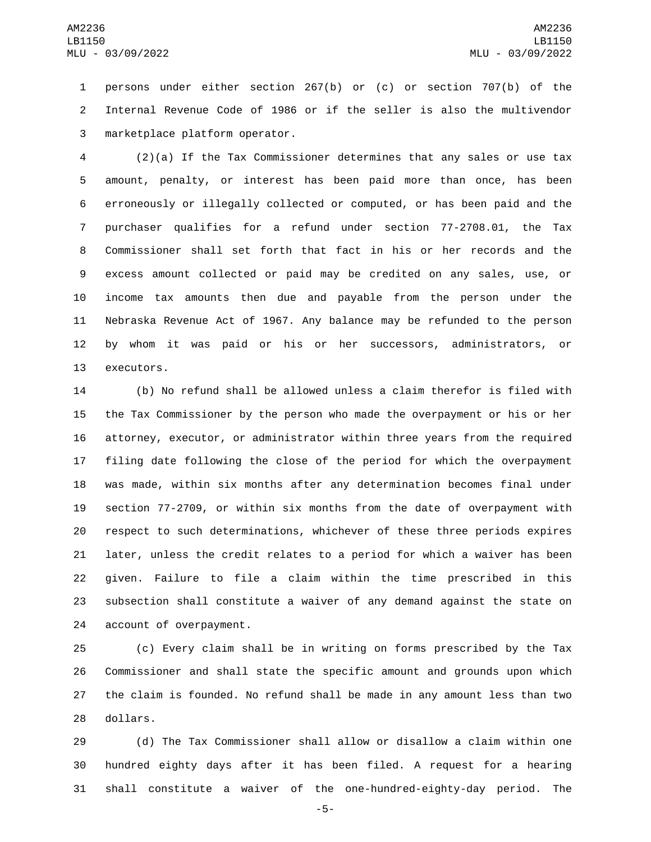persons under either section 267(b) or (c) or section 707(b) of the Internal Revenue Code of 1986 or if the seller is also the multivendor marketplace platform operator.3

 (2)(a) If the Tax Commissioner determines that any sales or use tax amount, penalty, or interest has been paid more than once, has been erroneously or illegally collected or computed, or has been paid and the purchaser qualifies for a refund under section 77-2708.01, the Tax Commissioner shall set forth that fact in his or her records and the excess amount collected or paid may be credited on any sales, use, or income tax amounts then due and payable from the person under the Nebraska Revenue Act of 1967. Any balance may be refunded to the person by whom it was paid or his or her successors, administrators, or 13 executors.

 (b) No refund shall be allowed unless a claim therefor is filed with the Tax Commissioner by the person who made the overpayment or his or her attorney, executor, or administrator within three years from the required filing date following the close of the period for which the overpayment was made, within six months after any determination becomes final under section 77-2709, or within six months from the date of overpayment with respect to such determinations, whichever of these three periods expires later, unless the credit relates to a period for which a waiver has been given. Failure to file a claim within the time prescribed in this subsection shall constitute a waiver of any demand against the state on 24 account of overpayment.

 (c) Every claim shall be in writing on forms prescribed by the Tax Commissioner and shall state the specific amount and grounds upon which the claim is founded. No refund shall be made in any amount less than two 28 dollars.

 (d) The Tax Commissioner shall allow or disallow a claim within one hundred eighty days after it has been filed. A request for a hearing shall constitute a waiver of the one-hundred-eighty-day period. The

-5-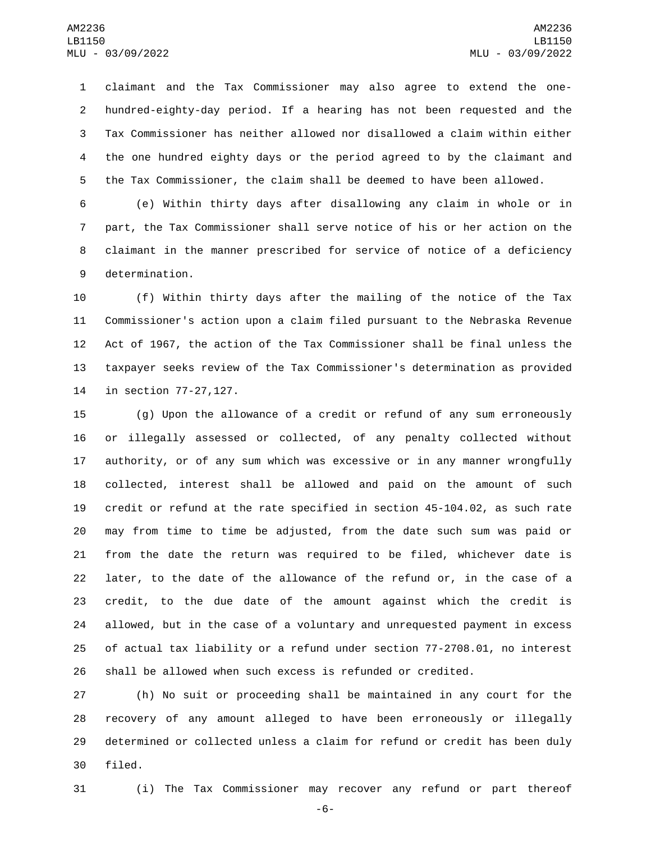claimant and the Tax Commissioner may also agree to extend the one- hundred-eighty-day period. If a hearing has not been requested and the Tax Commissioner has neither allowed nor disallowed a claim within either the one hundred eighty days or the period agreed to by the claimant and the Tax Commissioner, the claim shall be deemed to have been allowed.

 (e) Within thirty days after disallowing any claim in whole or in part, the Tax Commissioner shall serve notice of his or her action on the claimant in the manner prescribed for service of notice of a deficiency 9 determination.

 (f) Within thirty days after the mailing of the notice of the Tax Commissioner's action upon a claim filed pursuant to the Nebraska Revenue Act of 1967, the action of the Tax Commissioner shall be final unless the taxpayer seeks review of the Tax Commissioner's determination as provided 14 in section 77-27, 127.

 (g) Upon the allowance of a credit or refund of any sum erroneously or illegally assessed or collected, of any penalty collected without authority, or of any sum which was excessive or in any manner wrongfully collected, interest shall be allowed and paid on the amount of such credit or refund at the rate specified in section 45-104.02, as such rate may from time to time be adjusted, from the date such sum was paid or from the date the return was required to be filed, whichever date is later, to the date of the allowance of the refund or, in the case of a credit, to the due date of the amount against which the credit is allowed, but in the case of a voluntary and unrequested payment in excess of actual tax liability or a refund under section 77-2708.01, no interest shall be allowed when such excess is refunded or credited.

 (h) No suit or proceeding shall be maintained in any court for the recovery of any amount alleged to have been erroneously or illegally determined or collected unless a claim for refund or credit has been duly 30 filed.

(i) The Tax Commissioner may recover any refund or part thereof

-6-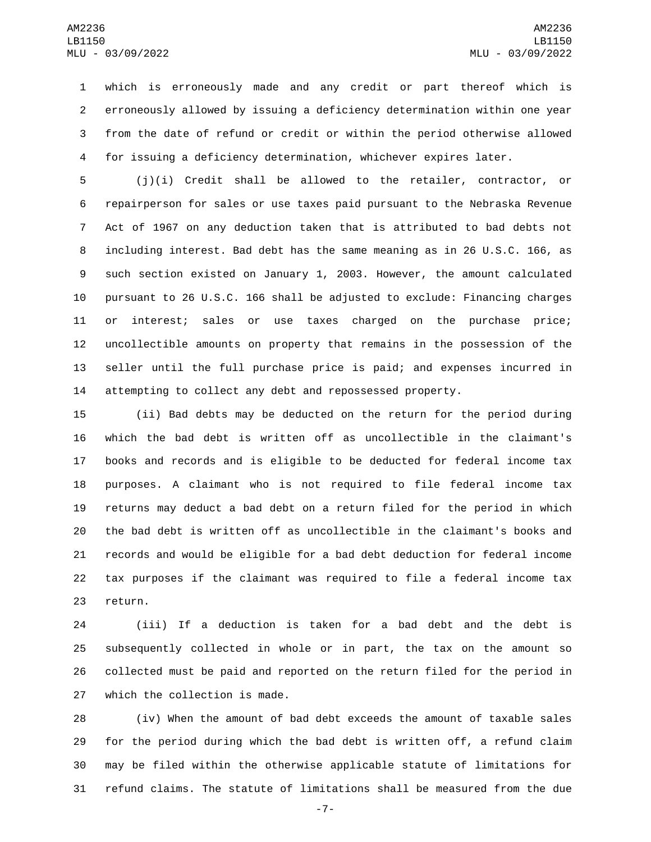which is erroneously made and any credit or part thereof which is erroneously allowed by issuing a deficiency determination within one year from the date of refund or credit or within the period otherwise allowed for issuing a deficiency determination, whichever expires later.

 (j)(i) Credit shall be allowed to the retailer, contractor, or repairperson for sales or use taxes paid pursuant to the Nebraska Revenue Act of 1967 on any deduction taken that is attributed to bad debts not including interest. Bad debt has the same meaning as in 26 U.S.C. 166, as such section existed on January 1, 2003. However, the amount calculated pursuant to 26 U.S.C. 166 shall be adjusted to exclude: Financing charges or interest; sales or use taxes charged on the purchase price; uncollectible amounts on property that remains in the possession of the seller until the full purchase price is paid; and expenses incurred in attempting to collect any debt and repossessed property.

 (ii) Bad debts may be deducted on the return for the period during which the bad debt is written off as uncollectible in the claimant's books and records and is eligible to be deducted for federal income tax purposes. A claimant who is not required to file federal income tax returns may deduct a bad debt on a return filed for the period in which the bad debt is written off as uncollectible in the claimant's books and records and would be eligible for a bad debt deduction for federal income tax purposes if the claimant was required to file a federal income tax 23 return.

 (iii) If a deduction is taken for a bad debt and the debt is subsequently collected in whole or in part, the tax on the amount so collected must be paid and reported on the return filed for the period in 27 which the collection is made.

 (iv) When the amount of bad debt exceeds the amount of taxable sales for the period during which the bad debt is written off, a refund claim may be filed within the otherwise applicable statute of limitations for refund claims. The statute of limitations shall be measured from the due

-7-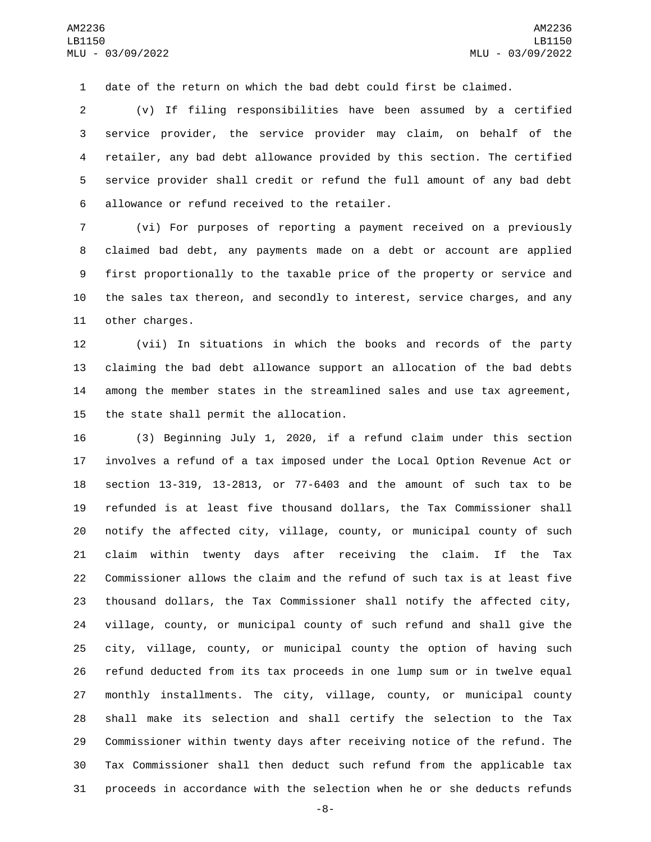date of the return on which the bad debt could first be claimed.

 (v) If filing responsibilities have been assumed by a certified service provider, the service provider may claim, on behalf of the retailer, any bad debt allowance provided by this section. The certified service provider shall credit or refund the full amount of any bad debt 6 allowance or refund received to the retailer.

 (vi) For purposes of reporting a payment received on a previously claimed bad debt, any payments made on a debt or account are applied first proportionally to the taxable price of the property or service and the sales tax thereon, and secondly to interest, service charges, and any 11 other charges.

 (vii) In situations in which the books and records of the party claiming the bad debt allowance support an allocation of the bad debts among the member states in the streamlined sales and use tax agreement, 15 the state shall permit the allocation.

 (3) Beginning July 1, 2020, if a refund claim under this section involves a refund of a tax imposed under the Local Option Revenue Act or section 13-319, 13-2813, or 77-6403 and the amount of such tax to be refunded is at least five thousand dollars, the Tax Commissioner shall notify the affected city, village, county, or municipal county of such claim within twenty days after receiving the claim. If the Tax Commissioner allows the claim and the refund of such tax is at least five thousand dollars, the Tax Commissioner shall notify the affected city, village, county, or municipal county of such refund and shall give the city, village, county, or municipal county the option of having such refund deducted from its tax proceeds in one lump sum or in twelve equal monthly installments. The city, village, county, or municipal county shall make its selection and shall certify the selection to the Tax Commissioner within twenty days after receiving notice of the refund. The Tax Commissioner shall then deduct such refund from the applicable tax proceeds in accordance with the selection when he or she deducts refunds

-8-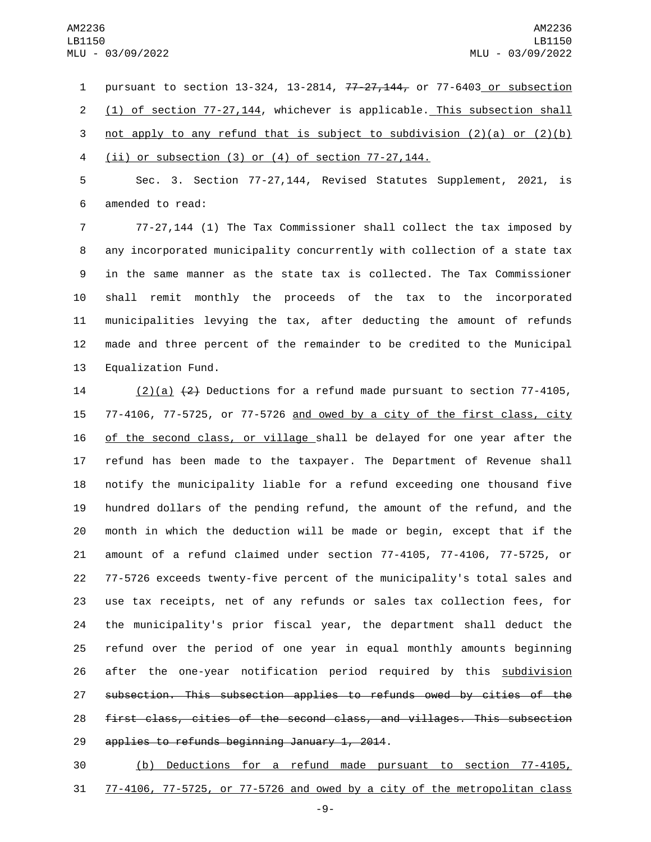pursuant to section 13-324, 13-2814, 77-27,144, or 77-6403 or subsection (1) of section 77-27,144, whichever is applicable. This subsection shall 3 not apply to any refund that is subject to subdivision  $(2)(a)$  or  $(2)(b)$ (ii) or subsection (3) or (4) of section 77-27,144.

 Sec. 3. Section 77-27,144, Revised Statutes Supplement, 2021, is 6 amended to read:

 77-27,144 (1) The Tax Commissioner shall collect the tax imposed by any incorporated municipality concurrently with collection of a state tax in the same manner as the state tax is collected. The Tax Commissioner shall remit monthly the proceeds of the tax to the incorporated municipalities levying the tax, after deducting the amount of refunds made and three percent of the remainder to be credited to the Municipal 13 Equalization Fund.

 $(2)(a)$   $(2)$  Deductions for a refund made pursuant to section 77-4105, 77-4106, 77-5725, or 77-5726 and owed by a city of the first class, city of the second class, or village shall be delayed for one year after the refund has been made to the taxpayer. The Department of Revenue shall notify the municipality liable for a refund exceeding one thousand five hundred dollars of the pending refund, the amount of the refund, and the month in which the deduction will be made or begin, except that if the amount of a refund claimed under section 77-4105, 77-4106, 77-5725, or 77-5726 exceeds twenty-five percent of the municipality's total sales and use tax receipts, net of any refunds or sales tax collection fees, for the municipality's prior fiscal year, the department shall deduct the refund over the period of one year in equal monthly amounts beginning after the one-year notification period required by this subdivision subsection. This subsection applies to refunds owed by cities of the first class, cities of the second class, and villages. This subsection 29 applies to refunds beginning January 1, 2014.

 (b) Deductions for a refund made pursuant to section 77-4105, 77-4106, 77-5725, or 77-5726 and owed by a city of the metropolitan class

-9-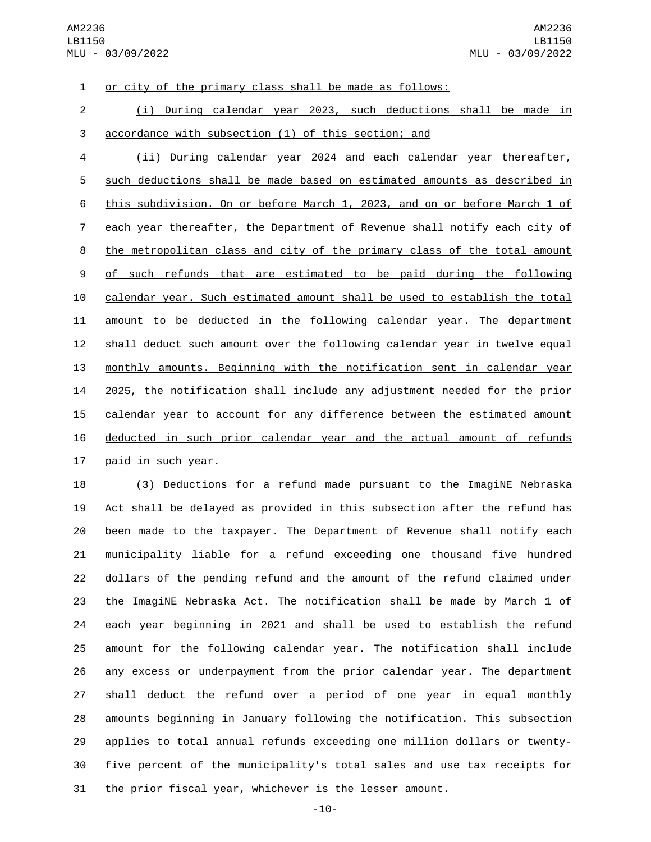or city of the primary class shall be made as follows:

 (i) During calendar year 2023, such deductions shall be made in accordance with subsection (1) of this section; and

 (ii) During calendar year 2024 and each calendar year thereafter, such deductions shall be made based on estimated amounts as described in this subdivision. On or before March 1, 2023, and on or before March 1 of each year thereafter, the Department of Revenue shall notify each city of the metropolitan class and city of the primary class of the total amount 9 of such refunds that are estimated to be paid during the following calendar year. Such estimated amount shall be used to establish the total amount to be deducted in the following calendar year. The department 12 shall deduct such amount over the following calendar year in twelve equal monthly amounts. Beginning with the notification sent in calendar year 2025, the notification shall include any adjustment needed for the prior 15 calendar year to account for any difference between the estimated amount deducted in such prior calendar year and the actual amount of refunds 17 paid in such year.

18 (3) Deductions for a refund made pursuant to the ImagiNE Nebraska Act shall be delayed as provided in this subsection after the refund has been made to the taxpayer. The Department of Revenue shall notify each municipality liable for a refund exceeding one thousand five hundred dollars of the pending refund and the amount of the refund claimed under the ImagiNE Nebraska Act. The notification shall be made by March 1 of each year beginning in 2021 and shall be used to establish the refund amount for the following calendar year. The notification shall include any excess or underpayment from the prior calendar year. The department shall deduct the refund over a period of one year in equal monthly amounts beginning in January following the notification. This subsection applies to total annual refunds exceeding one million dollars or twenty- five percent of the municipality's total sales and use tax receipts for the prior fiscal year, whichever is the lesser amount.

-10-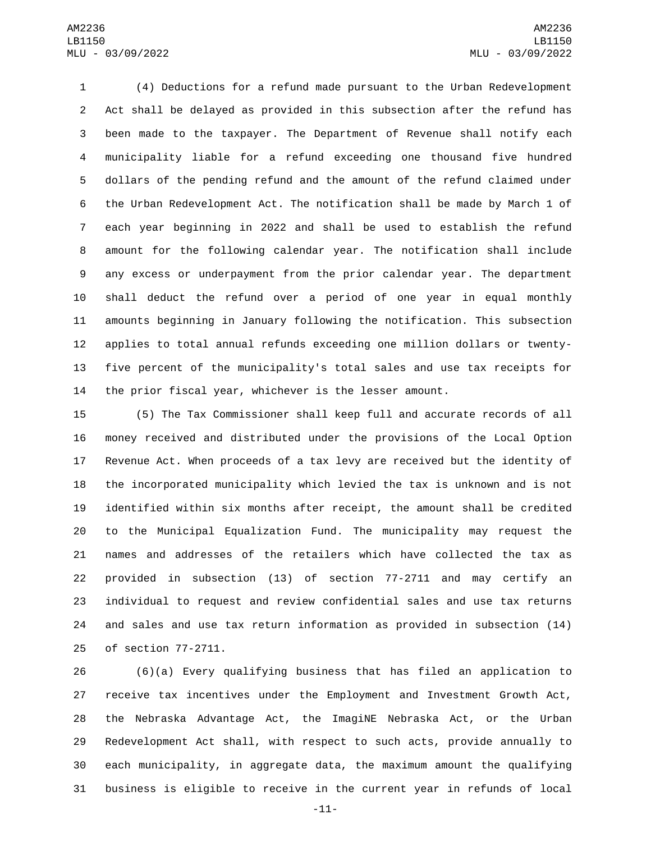(4) Deductions for a refund made pursuant to the Urban Redevelopment Act shall be delayed as provided in this subsection after the refund has been made to the taxpayer. The Department of Revenue shall notify each municipality liable for a refund exceeding one thousand five hundred dollars of the pending refund and the amount of the refund claimed under the Urban Redevelopment Act. The notification shall be made by March 1 of each year beginning in 2022 and shall be used to establish the refund amount for the following calendar year. The notification shall include any excess or underpayment from the prior calendar year. The department shall deduct the refund over a period of one year in equal monthly amounts beginning in January following the notification. This subsection applies to total annual refunds exceeding one million dollars or twenty- five percent of the municipality's total sales and use tax receipts for the prior fiscal year, whichever is the lesser amount.

 (5) The Tax Commissioner shall keep full and accurate records of all money received and distributed under the provisions of the Local Option Revenue Act. When proceeds of a tax levy are received but the identity of the incorporated municipality which levied the tax is unknown and is not identified within six months after receipt, the amount shall be credited to the Municipal Equalization Fund. The municipality may request the names and addresses of the retailers which have collected the tax as provided in subsection (13) of section 77-2711 and may certify an individual to request and review confidential sales and use tax returns and sales and use tax return information as provided in subsection (14) 25 of section 77-2711.

 (6)(a) Every qualifying business that has filed an application to receive tax incentives under the Employment and Investment Growth Act, the Nebraska Advantage Act, the ImagiNE Nebraska Act, or the Urban Redevelopment Act shall, with respect to such acts, provide annually to each municipality, in aggregate data, the maximum amount the qualifying business is eligible to receive in the current year in refunds of local

-11-